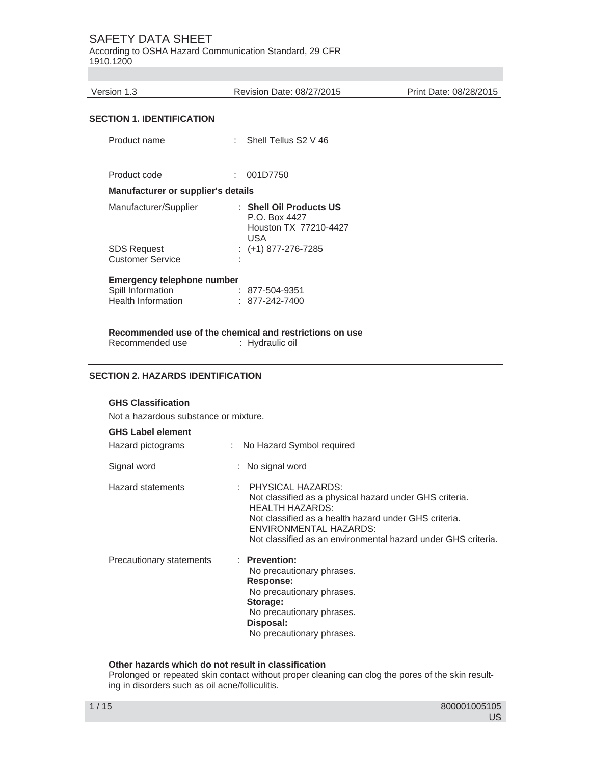According to OSHA Hazard Communication Standard, 29 CFR 1910.1200

Version 1.3 Revision Date: 08/27/2015 Print Date: 08/28/2015

# **SECTION 1. IDENTIFICATION**

| Product name                                                                 | t. | Shell Tellus S2 V 46                                                     |
|------------------------------------------------------------------------------|----|--------------------------------------------------------------------------|
| Product code                                                                 |    | 001D7750                                                                 |
| Manufacturer or supplier's details                                           |    |                                                                          |
| Manufacturer/Supplier                                                        |    | : Shell Oil Products US<br>P.O. Box 4427<br>Houston TX 77210-4427<br>USA |
| <b>SDS Request</b><br><b>Customer Service</b>                                |    | $:(+1)$ 877-276-7285                                                     |
| Emergency telephone number<br>Spill Information<br><b>Health Information</b> |    | : 877-504-9351<br>$: 877 - 242 - 7400$                                   |

**Recommended use of the chemical and restrictions on use**  Recommended use : Hydraulic oil

#### **SECTION 2. HAZARDS IDENTIFICATION**

# **GHS Classification**

Not a hazardous substance or mixture.

# **GHS Label element**

| Hazard pictograms        | : No Hazard Symbol required                                                                                                                                                                                                                           |
|--------------------------|-------------------------------------------------------------------------------------------------------------------------------------------------------------------------------------------------------------------------------------------------------|
| Signal word              | : No signal word                                                                                                                                                                                                                                      |
| <b>Hazard statements</b> | : PHYSICAL HAZARDS:<br>Not classified as a physical hazard under GHS criteria.<br>HEALTH HAZARDS:<br>Not classified as a health hazard under GHS criteria.<br>ENVIRONMENTAL HAZARDS:<br>Not classified as an environmental hazard under GHS criteria. |
| Precautionary statements | : Prevention:<br>No precautionary phrases.<br>Response:<br>No precautionary phrases.<br>Storage:<br>No precautionary phrases.<br>Disposal:<br>No precautionary phrases.                                                                               |

#### **Other hazards which do not result in classification**

Prolonged or repeated skin contact without proper cleaning can clog the pores of the skin resulting in disorders such as oil acne/folliculitis.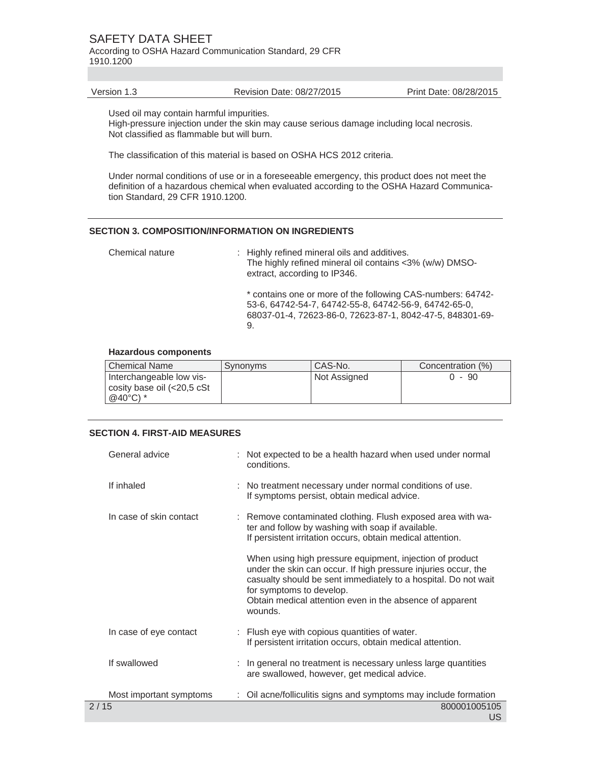According to OSHA Hazard Communication Standard, 29 CFR 1910.1200

Version 1.3 Revision Date: 08/27/2015 Print Date: 08/28/2015

Used oil may contain harmful impurities.

High-pressure injection under the skin may cause serious damage including local necrosis. Not classified as flammable but will burn.

The classification of this material is based on OSHA HCS 2012 criteria.

Under normal conditions of use or in a foreseeable emergency, this product does not meet the definition of a hazardous chemical when evaluated according to the OSHA Hazard Communication Standard, 29 CFR 1910.1200.

#### **SECTION 3. COMPOSITION/INFORMATION ON INGREDIENTS**

Chemical nature : Highly refined mineral oils and additives. The highly refined mineral oil contains <3% (w/w) DMSOextract, according to IP346. \* contains one or more of the following CAS-numbers: 64742- 53-6, 64742-54-7, 64742-55-8, 64742-56-9, 64742-65-0, 68037-01-4, 72623-86-0, 72623-87-1, 8042-47-5, 848301-69- 9.

#### **Hazardous components**

| l Chemical Name                                                               | Synonyms | CAS-No.      | Concentration (%) |
|-------------------------------------------------------------------------------|----------|--------------|-------------------|
| Interchangeable low vis-<br>cosity base oil (<20,5 cSt<br>@40 $^{\circ}$ C) * |          | Not Assigned | - 90              |

#### **SECTION 4. FIRST-AID MEASURES**

| General advice          | : Not expected to be a health hazard when used under normal<br>conditions.                                                                                                                                                                                                                      |
|-------------------------|-------------------------------------------------------------------------------------------------------------------------------------------------------------------------------------------------------------------------------------------------------------------------------------------------|
| If inhaled              | : No treatment necessary under normal conditions of use.<br>If symptoms persist, obtain medical advice.                                                                                                                                                                                         |
| In case of skin contact | : Remove contaminated clothing. Flush exposed area with wa-<br>ter and follow by washing with soap if available.<br>If persistent irritation occurs, obtain medical attention.                                                                                                                  |
|                         | When using high pressure equipment, injection of product<br>under the skin can occur. If high pressure injuries occur, the<br>casualty should be sent immediately to a hospital. Do not wait<br>for symptoms to develop.<br>Obtain medical attention even in the absence of apparent<br>wounds. |
| In case of eye contact  | : Flush eye with copious quantities of water.<br>If persistent irritation occurs, obtain medical attention.                                                                                                                                                                                     |
| If swallowed            | : In general no treatment is necessary unless large quantities<br>are swallowed, however, get medical advice.                                                                                                                                                                                   |
| Most important symptoms | Oil acne/folliculitis signs and symptoms may include formation                                                                                                                                                                                                                                  |
| 2/15                    | 800001005105<br>บร                                                                                                                                                                                                                                                                              |
|                         |                                                                                                                                                                                                                                                                                                 |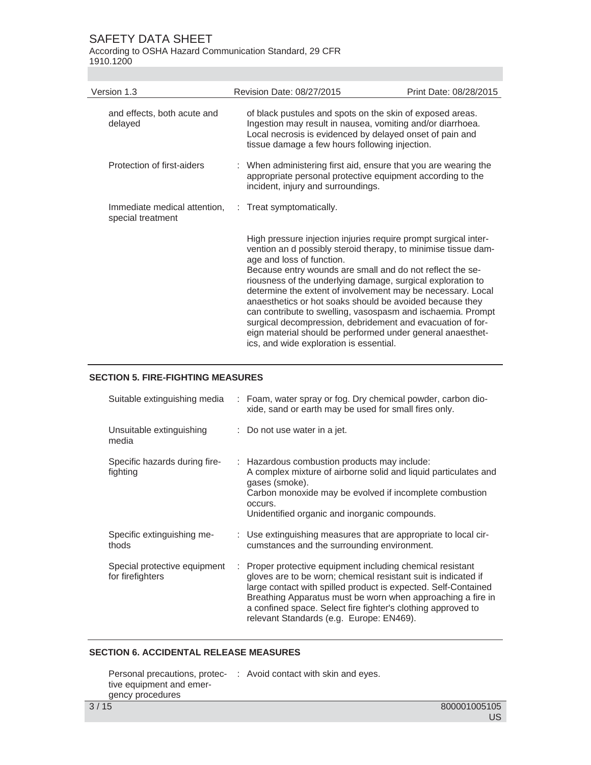According to OSHA Hazard Communication Standard, 29 CFR 1910.1200

| Version 1.3                                       | Revision Date: 08/27/2015                                                                                                                                                                                                                                                                                                                                                                                                                                                                                                                                                                                                                                   | Print Date: 08/28/2015 |
|---------------------------------------------------|-------------------------------------------------------------------------------------------------------------------------------------------------------------------------------------------------------------------------------------------------------------------------------------------------------------------------------------------------------------------------------------------------------------------------------------------------------------------------------------------------------------------------------------------------------------------------------------------------------------------------------------------------------------|------------------------|
| and effects, both acute and<br>delayed            | of black pustules and spots on the skin of exposed areas.<br>Ingestion may result in nausea, vomiting and/or diarrhoea.<br>Local necrosis is evidenced by delayed onset of pain and<br>tissue damage a few hours following injection.                                                                                                                                                                                                                                                                                                                                                                                                                       |                        |
| Protection of first-aiders                        | : When administering first aid, ensure that you are wearing the<br>appropriate personal protective equipment according to the<br>incident, injury and surroundings.                                                                                                                                                                                                                                                                                                                                                                                                                                                                                         |                        |
| Immediate medical attention,<br>special treatment | : Treat symptomatically.                                                                                                                                                                                                                                                                                                                                                                                                                                                                                                                                                                                                                                    |                        |
|                                                   | High pressure injection injuries require prompt surgical inter-<br>vention an d possibly steroid therapy, to minimise tissue dam-<br>age and loss of function.<br>Because entry wounds are small and do not reflect the se-<br>riousness of the underlying damage, surgical exploration to<br>determine the extent of involvement may be necessary. Local<br>anaesthetics or hot soaks should be avoided because they<br>can contribute to swelling, vasospasm and ischaemia. Prompt<br>surgical decompression, debridement and evacuation of for-<br>eign material should be performed under general anaesthet-<br>ics, and wide exploration is essential. |                        |

# **SECTION 5. FIRE-FIGHTING MEASURES**

| Suitable extinguishing media                     |   | : Foam, water spray or fog. Dry chemical powder, carbon dio-<br>xide, sand or earth may be used for small fires only.                                                                                                                                                                                                                                                   |
|--------------------------------------------------|---|-------------------------------------------------------------------------------------------------------------------------------------------------------------------------------------------------------------------------------------------------------------------------------------------------------------------------------------------------------------------------|
| Unsuitable extinguishing<br>media                |   | $\therefore$ Do not use water in a jet.                                                                                                                                                                                                                                                                                                                                 |
| Specific hazards during fire-<br>fighting        |   | : Hazardous combustion products may include:<br>A complex mixture of airborne solid and liquid particulates and<br>gases (smoke).<br>Carbon monoxide may be evolved if incomplete combustion<br>occurs.<br>Unidentified organic and inorganic compounds.                                                                                                                |
| Specific extinguishing me-<br>thods              |   | : Use extinguishing measures that are appropriate to local cir-<br>cumstances and the surrounding environment.                                                                                                                                                                                                                                                          |
| Special protective equipment<br>for firefighters | ÷ | Proper protective equipment including chemical resistant<br>gloves are to be worn; chemical resistant suit is indicated if<br>large contact with spilled product is expected. Self-Contained<br>Breathing Apparatus must be worn when approaching a fire in<br>a confined space. Select fire fighter's clothing approved to<br>relevant Standards (e.g. Europe: EN469). |

# **SECTION 6. ACCIDENTAL RELEASE MEASURES**

|                          | Personal precautions, protec- : Avoid contact with skin and eyes. |
|--------------------------|-------------------------------------------------------------------|
| tive equipment and emer- |                                                                   |
| gency procedures         |                                                                   |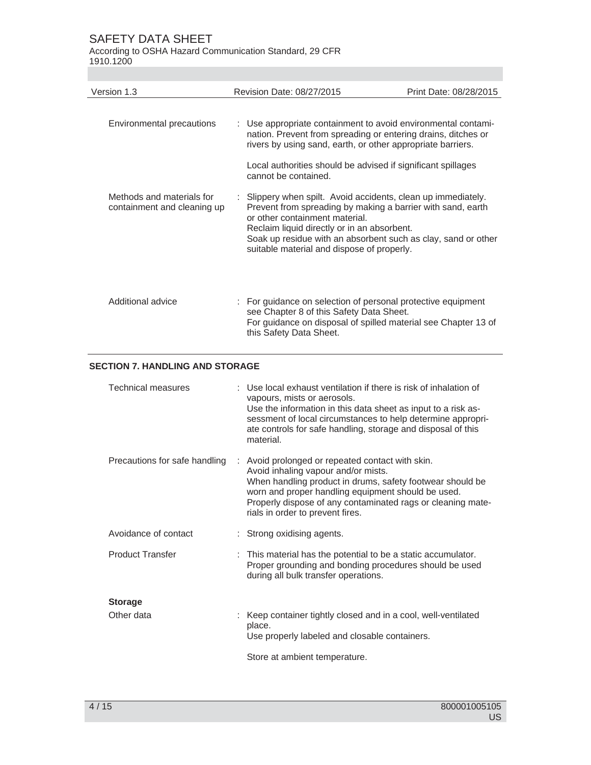According to OSHA Hazard Communication Standard, 29 CFR 1910.1200

| Version 1.3                                              | Revision Date: 08/27/2015                                                                                                                                                                                                                                                                                                  | Print Date: 08/28/2015 |
|----------------------------------------------------------|----------------------------------------------------------------------------------------------------------------------------------------------------------------------------------------------------------------------------------------------------------------------------------------------------------------------------|------------------------|
| Environmental precautions                                | : Use appropriate containment to avoid environmental contami-<br>nation. Prevent from spreading or entering drains, ditches or<br>rivers by using sand, earth, or other appropriate barriers.                                                                                                                              |                        |
|                                                          | Local authorities should be advised if significant spillages<br>cannot be contained.                                                                                                                                                                                                                                       |                        |
| Methods and materials for<br>containment and cleaning up | Slippery when spilt. Avoid accidents, clean up immediately.<br>Prevent from spreading by making a barrier with sand, earth<br>or other containment material.<br>Reclaim liquid directly or in an absorbent.<br>Soak up residue with an absorbent such as clay, sand or other<br>suitable material and dispose of properly. |                        |
| Additional advice                                        | : For guidance on selection of personal protective equipment<br>see Chapter 8 of this Safety Data Sheet.<br>For guidance on disposal of spilled material see Chapter 13 of<br>this Safety Data Sheet.                                                                                                                      |                        |

# **SECTION 7. HANDLING AND STORAGE**

| Technical measures            | Use local exhaust ventilation if there is risk of inhalation of<br>vapours, mists or aerosols.<br>Use the information in this data sheet as input to a risk as-<br>sessment of local circumstances to help determine appropri-<br>ate controls for safe handling, storage and disposal of this<br>material.   |
|-------------------------------|---------------------------------------------------------------------------------------------------------------------------------------------------------------------------------------------------------------------------------------------------------------------------------------------------------------|
| Precautions for safe handling | : Avoid prolonged or repeated contact with skin.<br>Avoid inhaling vapour and/or mists.<br>When handling product in drums, safety footwear should be<br>worn and proper handling equipment should be used.<br>Properly dispose of any contaminated rags or cleaning mate-<br>rials in order to prevent fires. |
| Avoidance of contact          | : Strong oxidising agents.                                                                                                                                                                                                                                                                                    |
| <b>Product Transfer</b>       | : This material has the potential to be a static accumulator.<br>Proper grounding and bonding procedures should be used<br>during all bulk transfer operations.                                                                                                                                               |
| <b>Storage</b>                |                                                                                                                                                                                                                                                                                                               |
| Other data                    | : Keep container tightly closed and in a cool, well-ventilated<br>place.<br>Use properly labeled and closable containers.                                                                                                                                                                                     |
|                               | Store at ambient temperature.                                                                                                                                                                                                                                                                                 |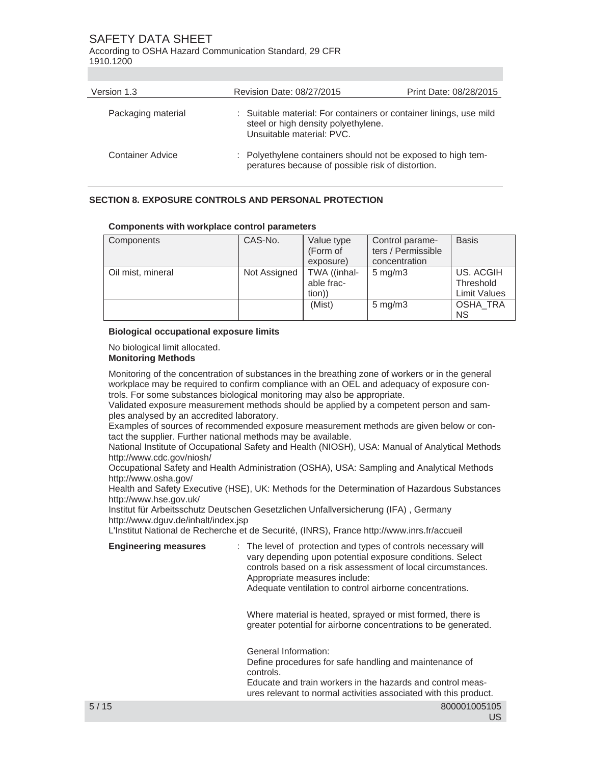According to OSHA Hazard Communication Standard, 29 CFR 1910.1200

| Version 1.3        | Revision Date: 08/27/2015                                                                                                              | Print Date: 08/28/2015 |
|--------------------|----------------------------------------------------------------------------------------------------------------------------------------|------------------------|
| Packaging material | : Suitable material: For containers or container linings, use mild<br>steel or high density polyethylene.<br>Unsuitable material: PVC. |                        |
| Container Advice   | : Polyethylene containers should not be exposed to high tem-<br>peratures because of possible risk of distortion.                      |                        |

# **SECTION 8. EXPOSURE CONTROLS AND PERSONAL PROTECTION**

#### **Components with workplace control parameters**

| Components        | CAS-No.      | Value type<br>(Form of | Control parame-<br>ters / Permissible | <b>Basis</b>        |
|-------------------|--------------|------------------------|---------------------------------------|---------------------|
|                   |              | exposure)              | concentration                         |                     |
| Oil mist, mineral | Not Assigned | TWA ((inhal-           | $5 \text{ mg/m}$ 3                    | US. ACGIH           |
|                   |              | able frac-             |                                       | Threshold           |
|                   |              | tion))                 |                                       | <b>Limit Values</b> |
|                   |              | (Mist)                 | $5 \text{ mg/m}$ 3                    | OSHA TRA            |
|                   |              |                        |                                       | <b>NS</b>           |

#### **Biological occupational exposure limits**

No biological limit allocated.

# **Monitoring Methods**

Monitoring of the concentration of substances in the breathing zone of workers or in the general workplace may be required to confirm compliance with an OEL and adequacy of exposure controls. For some substances biological monitoring may also be appropriate.

Validated exposure measurement methods should be applied by a competent person and samples analysed by an accredited laboratory.

Examples of sources of recommended exposure measurement methods are given below or contact the supplier. Further national methods may be available.

National Institute of Occupational Safety and Health (NIOSH), USA: Manual of Analytical Methods http://www.cdc.gov/niosh/

Occupational Safety and Health Administration (OSHA), USA: Sampling and Analytical Methods http://www.osha.gov/

Health and Safety Executive (HSE), UK: Methods for the Determination of Hazardous Substances http://www.hse.gov.uk/

Institut für Arbeitsschutz Deutschen Gesetzlichen Unfallversicherung (IFA) , Germany http://www.dguv.de/inhalt/index.jsp

L'Institut National de Recherche et de Securité, (INRS), France http://www.inrs.fr/accueil

**Engineering measures** : The level of protection and types of controls necessary will vary depending upon potential exposure conditions. Select controls based on a risk assessment of local circumstances. Appropriate measures include:

Adequate ventilation to control airborne concentrations.

 Where material is heated, sprayed or mist formed, there is greater potential for airborne concentrations to be generated.

 General Information: Define procedures for safe handling and maintenance of controls.

Educate and train workers in the hazards and control measures relevant to normal activities associated with this product.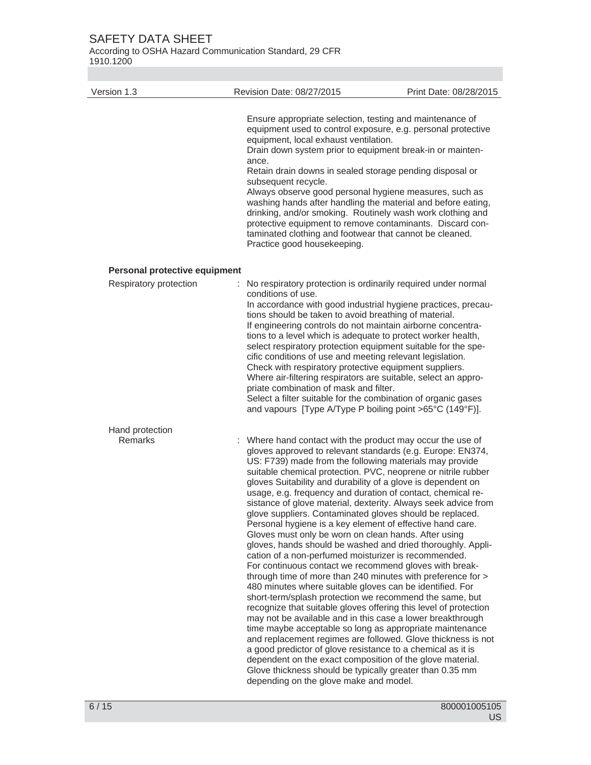According to OSHA Hazard Communication Standard, 29 CFR 1910.1200

| Version 1.3                   | Revision Date: 08/27/2015                                                                                                                                                                                                                                                                                                                                                                                                                                                                                                                                                                                                                                                                                                                                                                                                                                                                                                                                                                                                                                                                                                                                                                                                                                                                                                                                                                                                                                                                                     | Print Date: 08/28/2015 |
|-------------------------------|---------------------------------------------------------------------------------------------------------------------------------------------------------------------------------------------------------------------------------------------------------------------------------------------------------------------------------------------------------------------------------------------------------------------------------------------------------------------------------------------------------------------------------------------------------------------------------------------------------------------------------------------------------------------------------------------------------------------------------------------------------------------------------------------------------------------------------------------------------------------------------------------------------------------------------------------------------------------------------------------------------------------------------------------------------------------------------------------------------------------------------------------------------------------------------------------------------------------------------------------------------------------------------------------------------------------------------------------------------------------------------------------------------------------------------------------------------------------------------------------------------------|------------------------|
|                               | Ensure appropriate selection, testing and maintenance of<br>equipment used to control exposure, e.g. personal protective<br>equipment, local exhaust ventilation.<br>Drain down system prior to equipment break-in or mainten-<br>ance.<br>Retain drain downs in sealed storage pending disposal or<br>subsequent recycle.<br>Always observe good personal hygiene measures, such as<br>washing hands after handling the material and before eating,<br>drinking, and/or smoking. Routinely wash work clothing and<br>protective equipment to remove contaminants. Discard con-<br>taminated clothing and footwear that cannot be cleaned.<br>Practice good housekeeping.                                                                                                                                                                                                                                                                                                                                                                                                                                                                                                                                                                                                                                                                                                                                                                                                                                     |                        |
| Personal protective equipment |                                                                                                                                                                                                                                                                                                                                                                                                                                                                                                                                                                                                                                                                                                                                                                                                                                                                                                                                                                                                                                                                                                                                                                                                                                                                                                                                                                                                                                                                                                               |                        |
| Respiratory protection        | No respiratory protection is ordinarily required under normal<br>conditions of use.<br>In accordance with good industrial hygiene practices, precau-<br>tions should be taken to avoid breathing of material.<br>If engineering controls do not maintain airborne concentra-<br>tions to a level which is adequate to protect worker health,<br>select respiratory protection equipment suitable for the spe-<br>cific conditions of use and meeting relevant legislation.<br>Check with respiratory protective equipment suppliers.<br>Where air-filtering respirators are suitable, select an appro-<br>priate combination of mask and filter.<br>Select a filter suitable for the combination of organic gases<br>and vapours [Type A/Type P boiling point >65°C (149°F)].                                                                                                                                                                                                                                                                                                                                                                                                                                                                                                                                                                                                                                                                                                                                 |                        |
| Hand protection               |                                                                                                                                                                                                                                                                                                                                                                                                                                                                                                                                                                                                                                                                                                                                                                                                                                                                                                                                                                                                                                                                                                                                                                                                                                                                                                                                                                                                                                                                                                               |                        |
| Remarks                       | : Where hand contact with the product may occur the use of<br>gloves approved to relevant standards (e.g. Europe: EN374,<br>US: F739) made from the following materials may provide<br>suitable chemical protection. PVC, neoprene or nitrile rubber<br>gloves Suitability and durability of a glove is dependent on<br>usage, e.g. frequency and duration of contact, chemical re-<br>sistance of glove material, dexterity. Always seek advice from<br>glove suppliers. Contaminated gloves should be replaced.<br>Personal hygiene is a key element of effective hand care.<br>Gloves must only be worn on clean hands. After using<br>gloves, hands should be washed and dried thoroughly. Appli-<br>cation of a non-perfumed moisturizer is recommended.<br>For continuous contact we recommend gloves with break-<br>through time of more than 240 minutes with preference for ><br>480 minutes where suitable gloves can be identified. For<br>short-term/splash protection we recommend the same, but<br>recognize that suitable gloves offering this level of protection<br>may not be available and in this case a lower breakthrough<br>time maybe acceptable so long as appropriate maintenance<br>and replacement regimes are followed. Glove thickness is not<br>a good predictor of glove resistance to a chemical as it is<br>dependent on the exact composition of the glove material.<br>Glove thickness should be typically greater than 0.35 mm<br>depending on the glove make and model. |                        |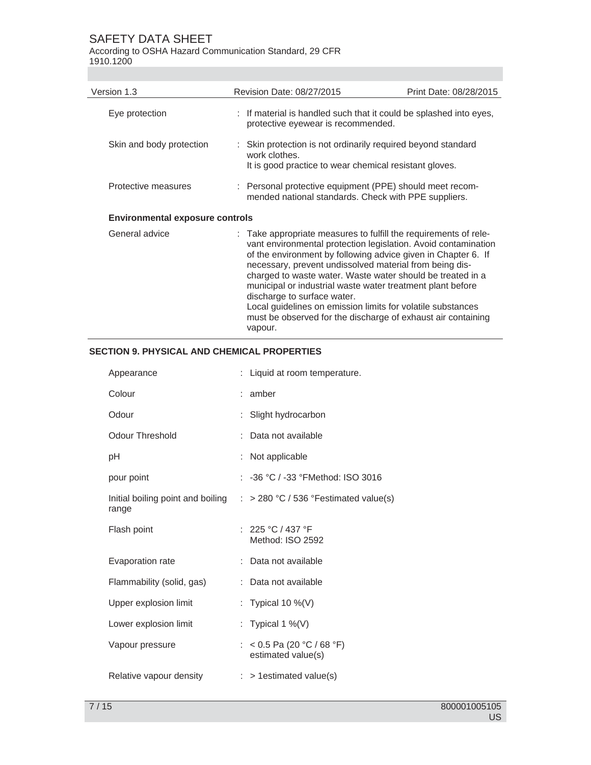According to OSHA Hazard Communication Standard, 29 CFR 1910.1200

| Version 1.3                            | Revision Date: 08/27/2015                                                                                                                                                                                                                                                                                                                                                                                                                                                                                                                                           | Print Date: 08/28/2015 |
|----------------------------------------|---------------------------------------------------------------------------------------------------------------------------------------------------------------------------------------------------------------------------------------------------------------------------------------------------------------------------------------------------------------------------------------------------------------------------------------------------------------------------------------------------------------------------------------------------------------------|------------------------|
| Eye protection                         | : If material is handled such that it could be splashed into eyes,<br>protective eyewear is recommended.                                                                                                                                                                                                                                                                                                                                                                                                                                                            |                        |
| Skin and body protection               | : Skin protection is not ordinarily required beyond standard<br>work clothes.<br>It is good practice to wear chemical resistant gloves.                                                                                                                                                                                                                                                                                                                                                                                                                             |                        |
| Protective measures                    | : Personal protective equipment (PPE) should meet recom-<br>mended national standards. Check with PPE suppliers.                                                                                                                                                                                                                                                                                                                                                                                                                                                    |                        |
| <b>Environmental exposure controls</b> |                                                                                                                                                                                                                                                                                                                                                                                                                                                                                                                                                                     |                        |
| General advice                         | : Take appropriate measures to fulfill the requirements of rele-<br>vant environmental protection legislation. Avoid contamination<br>of the environment by following advice given in Chapter 6. If<br>necessary, prevent undissolved material from being dis-<br>charged to waste water. Waste water should be treated in a<br>municipal or industrial waste water treatment plant before<br>discharge to surface water.<br>Local guidelines on emission limits for volatile substances<br>must be observed for the discharge of exhaust air containing<br>vapour. |                        |

# **SECTION 9. PHYSICAL AND CHEMICAL PROPERTIES**

| Appearance                                 | Liquid at room temperature.                      |
|--------------------------------------------|--------------------------------------------------|
| Colour                                     | amber                                            |
| Odour                                      | Slight hydrocarbon                               |
| Odour Threshold                            | Data not available                               |
| рH                                         | Not applicable                                   |
| pour point                                 | : $-36$ °C / $-33$ °FMethod: ISO 3016            |
| Initial boiling point and boiling<br>range | $\therefore$ > 280 °C / 536 °Festimated value(s) |
| Flash point                                | : 225 °C / 437 °F<br>Method: ISO 2592            |
| Evaporation rate                           | Data not available                               |
| Flammability (solid, gas)                  | Data not available                               |
| Upper explosion limit                      | : Typical 10 %(V)                                |
| Lower explosion limit                      | Typical 1 %(V)                                   |
| Vapour pressure                            | : < 0.5 Pa (20 °C / 68 °F)<br>estimated value(s) |
| Relative vapour density                    | $:$ > 1 estimated value(s)                       |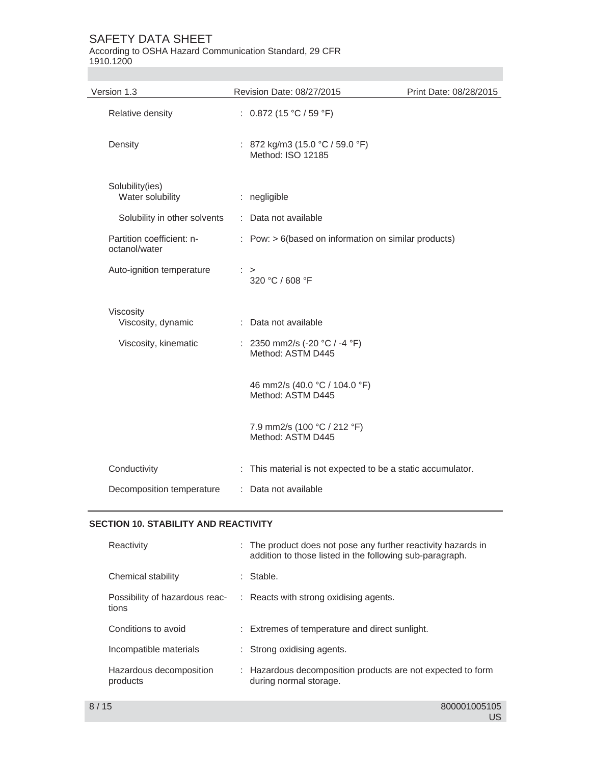According to OSHA Hazard Communication Standard, 29 CFR 1910.1200

| Version 1.3                                | Revision Date: 08/27/2015                                              | Print Date: 08/28/2015 |
|--------------------------------------------|------------------------------------------------------------------------|------------------------|
| Relative density                           | : $0.872$ (15 °C / 59 °F)                                              |                        |
| Density                                    | : 872 kg/m3 (15.0 °C / 59.0 °F)<br>Method: ISO 12185                   |                        |
| Solubility(ies)<br>Water solubility        | : negligible                                                           |                        |
| Solubility in other solvents               | : Data not available                                                   |                        |
| Partition coefficient: n-<br>octanol/water | $:$ Pow: $> 6$ (based on information on similar products)              |                        |
| Auto-ignition temperature                  | $\therefore$ ><br>320 °C / 608 °F                                      |                        |
| Viscosity<br>Viscosity, dynamic            | : Data not available                                                   |                        |
| Viscosity, kinematic                       | : 2350 mm2/s (-20 $^{\circ}$ C / -4 $^{\circ}$ F)<br>Method: ASTM D445 |                        |
|                                            | 46 mm2/s (40.0 °C / 104.0 °F)<br>Method: ASTM D445                     |                        |
|                                            | 7.9 mm2/s (100 °C / 212 °F)<br>Method: ASTM D445                       |                        |
| Conductivity                               | : This material is not expected to be a static accumulator.            |                        |
| Decomposition temperature                  | : Data not available                                                   |                        |

# **SECTION 10. STABILITY AND REACTIVITY**

| Reactivity                              | : The product does not pose any further reactivity hazards in<br>addition to those listed in the following sub-paragraph. |
|-----------------------------------------|---------------------------------------------------------------------------------------------------------------------------|
| Chemical stability                      | : Stable.                                                                                                                 |
| Possibility of hazardous reac-<br>tions | : Reacts with strong oxidising agents.                                                                                    |
| Conditions to avoid                     | : Extremes of temperature and direct sunlight.                                                                            |
| Incompatible materials                  | : Strong oxidising agents.                                                                                                |
| Hazardous decomposition<br>products     | : Hazardous decomposition products are not expected to form<br>during normal storage.                                     |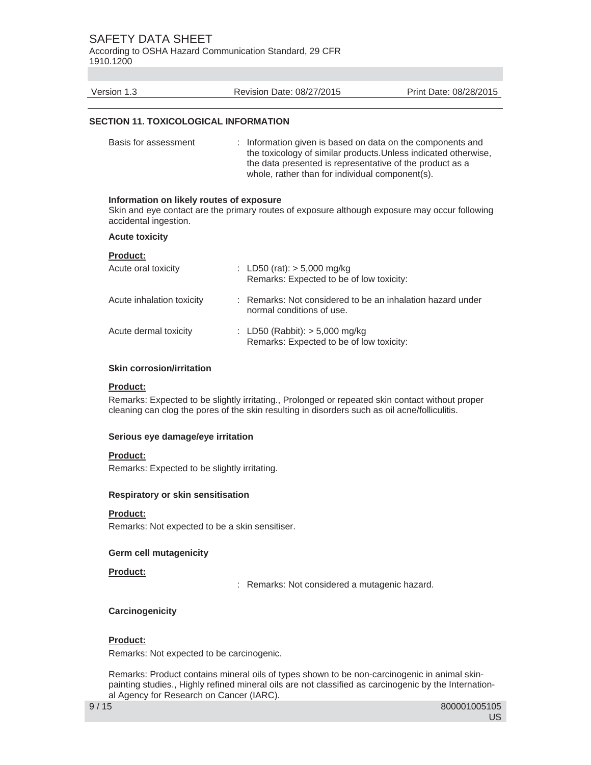According to OSHA Hazard Communication Standard, 29 CFR 1910.1200

| Version 1.3                                                       | Revision Date: 08/27/2015                                                                                                                                                 | Print Date: 08/28/2015                                          |
|-------------------------------------------------------------------|---------------------------------------------------------------------------------------------------------------------------------------------------------------------------|-----------------------------------------------------------------|
| <b>SECTION 11. TOXICOLOGICAL INFORMATION</b>                      |                                                                                                                                                                           |                                                                 |
| Basis for assessment                                              | : Information given is based on data on the components and<br>the data presented is representative of the product as a<br>whole, rather than for individual component(s). | the toxicology of similar products. Unless indicated otherwise, |
| Information on likely routes of exposure<br>accidental ingestion. | Skin and eye contact are the primary routes of exposure although exposure may occur following                                                                             |                                                                 |
| <b>Acute toxicity</b>                                             |                                                                                                                                                                           |                                                                 |
| <b>Product:</b><br>Acute oral toxicity                            | : LD50 (rat): $> 5,000$ mg/kg<br>Remarks: Expected to be of low toxicity:                                                                                                 |                                                                 |
| Acute inhalation toxicity                                         | : Remarks: Not considered to be an inhalation hazard under<br>normal conditions of use.                                                                                   |                                                                 |
| Acute dermal toxicity                                             | : LD50 (Rabbit): $>$ 5,000 mg/kg<br>Remarks: Expected to be of low toxicity:                                                                                              |                                                                 |
| <b>Skin corrosion/irritation</b>                                  |                                                                                                                                                                           |                                                                 |

#### **Product:**

Remarks: Expected to be slightly irritating., Prolonged or repeated skin contact without proper cleaning can clog the pores of the skin resulting in disorders such as oil acne/folliculitis.

# **Serious eye damage/eye irritation**

# **Product:**

Remarks: Expected to be slightly irritating.

# **Respiratory or skin sensitisation**

# **Product:**

Remarks: Not expected to be a skin sensitiser.

# **Germ cell mutagenicity**

# **Product:**

: Remarks: Not considered a mutagenic hazard.

# **Carcinogenicity**

# **Product:**

Remarks: Not expected to be carcinogenic.

Remarks: Product contains mineral oils of types shown to be non-carcinogenic in animal skinpainting studies., Highly refined mineral oils are not classified as carcinogenic by the International Agency for Research on Cancer (IARC).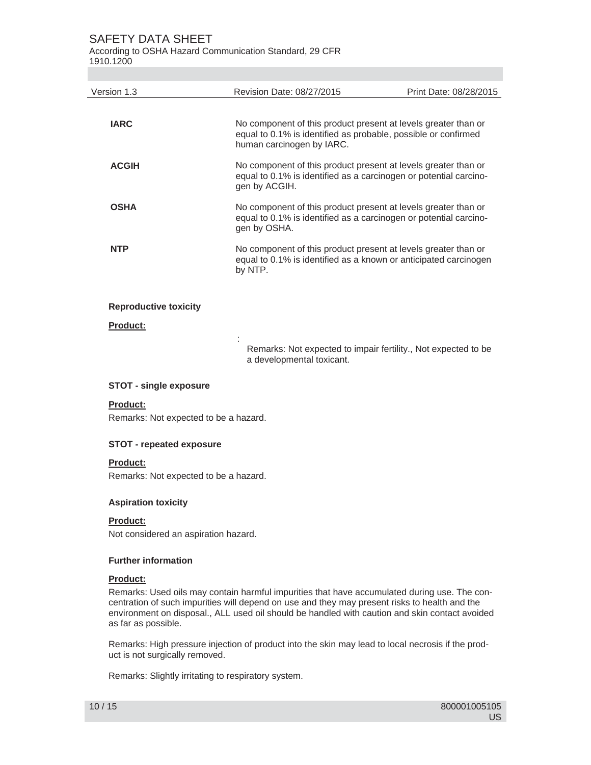According to OSHA Hazard Communication Standard, 29 CFR

1910.1200

| Version 1.3                  | Revision Date: 08/27/2015                                                                                                                                     | Print Date: 08/28/2015 |
|------------------------------|---------------------------------------------------------------------------------------------------------------------------------------------------------------|------------------------|
| <b>IARC</b>                  | No component of this product present at levels greater than or<br>equal to 0.1% is identified as probable, possible or confirmed<br>human carcinogen by IARC. |                        |
| <b>ACGIH</b>                 | No component of this product present at levels greater than or<br>equal to 0.1% is identified as a carcinogen or potential carcino-<br>gen by ACGIH.          |                        |
| <b>OSHA</b>                  | No component of this product present at levels greater than or<br>equal to 0.1% is identified as a carcinogen or potential carcino-<br>gen by OSHA.           |                        |
| <b>NTP</b>                   | No component of this product present at levels greater than or<br>equal to 0.1% is identified as a known or anticipated carcinogen<br>by NTP.                 |                        |
| <b>Reproductive toxicity</b> |                                                                                                                                                               |                        |
| Product:                     |                                                                                                                                                               |                        |
|                              | Remarks: Not expected to impair fertility., Not expected to be<br>a developmental toxicant.                                                                   |                        |

## **STOT - single exposure**

#### **Product:**

Remarks: Not expected to be a hazard.

# **STOT - repeated exposure**

# **Product:**

Remarks: Not expected to be a hazard.

# **Aspiration toxicity**

# **Product:**

Not considered an aspiration hazard.

# **Further information**

# **Product:**

Remarks: Used oils may contain harmful impurities that have accumulated during use. The concentration of such impurities will depend on use and they may present risks to health and the environment on disposal., ALL used oil should be handled with caution and skin contact avoided as far as possible.

Remarks: High pressure injection of product into the skin may lead to local necrosis if the product is not surgically removed.

Remarks: Slightly irritating to respiratory system.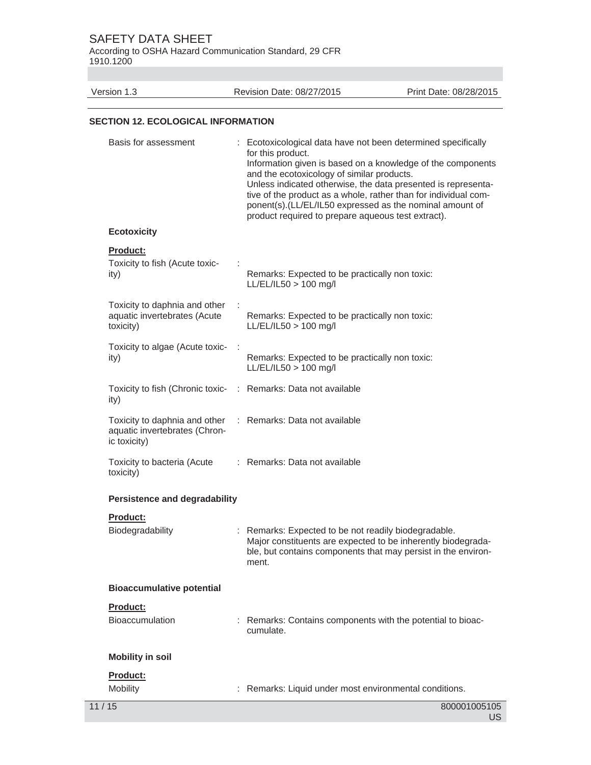According to OSHA Hazard Communication Standard, 29 CFR 1910.1200

Version 1.3 Revision Date: 08/27/2015 Print Date: 08/28/2015

## **SECTION 12. ECOLOGICAL INFORMATION**

| Basis for assessment                                                           | : Ecotoxicological data have not been determined specifically<br>for this product.<br>Information given is based on a knowledge of the components<br>and the ecotoxicology of similar products.<br>Unless indicated otherwise, the data presented is representa-<br>tive of the product as a whole, rather than for individual com-<br>ponent(s).(LL/EL/IL50 expressed as the nominal amount of<br>product required to prepare aqueous test extract). |
|--------------------------------------------------------------------------------|-------------------------------------------------------------------------------------------------------------------------------------------------------------------------------------------------------------------------------------------------------------------------------------------------------------------------------------------------------------------------------------------------------------------------------------------------------|
| <b>Ecotoxicity</b>                                                             |                                                                                                                                                                                                                                                                                                                                                                                                                                                       |
| Product:<br>Toxicity to fish (Acute toxic-<br>ity)                             | Remarks: Expected to be practically non toxic:<br>$LL/EL/IL50 > 100$ mg/l                                                                                                                                                                                                                                                                                                                                                                             |
| Toxicity to daphnia and other<br>aquatic invertebrates (Acute<br>toxicity)     | ÷<br>Remarks: Expected to be practically non toxic:<br>LL/EL/IL50 > 100 mg/l                                                                                                                                                                                                                                                                                                                                                                          |
| Toxicity to algae (Acute toxic-<br>ity)                                        | Remarks: Expected to be practically non toxic:<br>$LL/EL/IL50 > 100$ mg/l                                                                                                                                                                                                                                                                                                                                                                             |
| ity)                                                                           | Toxicity to fish (Chronic toxic- : Remarks: Data not available                                                                                                                                                                                                                                                                                                                                                                                        |
| Toxicity to daphnia and other<br>aquatic invertebrates (Chron-<br>ic toxicity) | : Remarks: Data not available                                                                                                                                                                                                                                                                                                                                                                                                                         |
| Toxicity to bacteria (Acute<br>toxicity)                                       | : Remarks: Data not available                                                                                                                                                                                                                                                                                                                                                                                                                         |
| <b>Persistence and degradability</b>                                           |                                                                                                                                                                                                                                                                                                                                                                                                                                                       |
| Product:<br>Biodegradability                                                   | : Remarks: Expected to be not readily biodegradable.<br>Major constituents are expected to be inherently biodegrada-<br>ble, but contains components that may persist in the environ-<br>ment.                                                                                                                                                                                                                                                        |
| <b>Bioaccumulative potential</b>                                               |                                                                                                                                                                                                                                                                                                                                                                                                                                                       |
| Product:                                                                       |                                                                                                                                                                                                                                                                                                                                                                                                                                                       |
| <b>Bioaccumulation</b>                                                         | : Remarks: Contains components with the potential to bioac-<br>cumulate.                                                                                                                                                                                                                                                                                                                                                                              |
| <b>Mobility in soil</b>                                                        |                                                                                                                                                                                                                                                                                                                                                                                                                                                       |
| Product:<br>Mobility                                                           | : Remarks: Liquid under most environmental conditions.                                                                                                                                                                                                                                                                                                                                                                                                |
| 11/15                                                                          | 800001005105<br>US.                                                                                                                                                                                                                                                                                                                                                                                                                                   |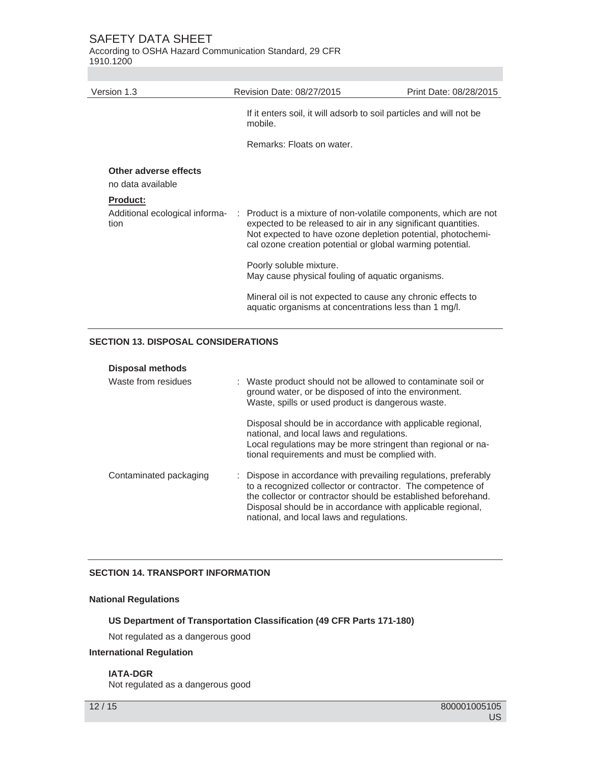According to OSHA Hazard Communication Standard, 29 CFR 1910.1200

| Version 1.3                                | Revision Date: 08/27/2015                                                                                                                                                                                                                                     | Print Date: 08/28/2015 |
|--------------------------------------------|---------------------------------------------------------------------------------------------------------------------------------------------------------------------------------------------------------------------------------------------------------------|------------------------|
|                                            | If it enters soil, it will adsorb to soil particles and will not be<br>mobile.                                                                                                                                                                                |                        |
|                                            | Remarks: Floats on water.                                                                                                                                                                                                                                     |                        |
| Other adverse effects<br>no data available |                                                                                                                                                                                                                                                               |                        |
| <b>Product:</b>                            |                                                                                                                                                                                                                                                               |                        |
| Additional ecological informa-<br>tion     | : Product is a mixture of non-volatile components, which are not<br>expected to be released to air in any significant quantities.<br>Not expected to have ozone depletion potential, photochemi-<br>cal ozone creation potential or global warming potential. |                        |
|                                            | Poorly soluble mixture.<br>May cause physical fouling of aquatic organisms.                                                                                                                                                                                   |                        |
|                                            | Mineral oil is not expected to cause any chronic effects to<br>aquatic organisms at concentrations less than 1 mg/l.                                                                                                                                          |                        |
|                                            |                                                                                                                                                                                                                                                               |                        |

# **SECTION 13. DISPOSAL CONSIDERATIONS**

| <b>Disposal methods</b> |                                                                                                                                                                                                                                                                                                           |
|-------------------------|-----------------------------------------------------------------------------------------------------------------------------------------------------------------------------------------------------------------------------------------------------------------------------------------------------------|
| Waste from residues     | : Waste product should not be allowed to contaminate soil or<br>ground water, or be disposed of into the environment.<br>Waste, spills or used product is dangerous waste.                                                                                                                                |
|                         | Disposal should be in accordance with applicable regional,<br>national, and local laws and regulations.<br>Local regulations may be more stringent than regional or na-<br>tional requirements and must be complied with.                                                                                 |
| Contaminated packaging  | : Dispose in accordance with prevailing regulations, preferably<br>to a recognized collector or contractor. The competence of<br>the collector or contractor should be established beforehand.<br>Disposal should be in accordance with applicable regional,<br>national, and local laws and regulations. |

# **SECTION 14. TRANSPORT INFORMATION**

## **National Regulations**

#### **US Department of Transportation Classification (49 CFR Parts 171-180)**

Not regulated as a dangerous good

# **International Regulation**

# **IATA-DGR**

Not regulated as a dangerous good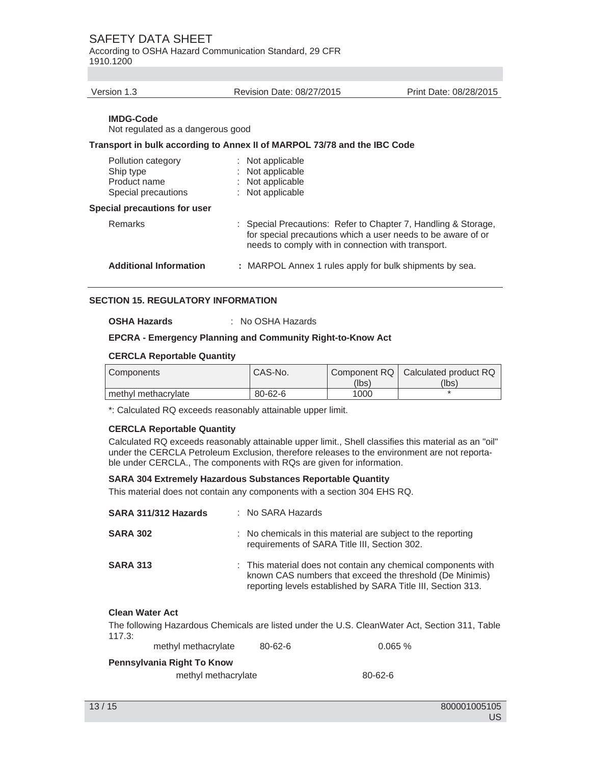According to OSHA Hazard Communication Standard, 29 CFR 1910.1200

#### Version 1.3 Revision Date: 08/27/2015 Print Date: 08/28/2015

#### **IMDG-Code**

Not regulated as a dangerous good

#### **Transport in bulk according to Annex II of MARPOL 73/78 and the IBC Code**

| Pollution category<br>Ship type<br>Product name<br>Special precautions | : Not applicable<br>: Not applicable<br>: Not applicable<br>: Not applicable                                                                                                         |
|------------------------------------------------------------------------|--------------------------------------------------------------------------------------------------------------------------------------------------------------------------------------|
| <b>Special precautions for user</b>                                    |                                                                                                                                                                                      |
| <b>Remarks</b>                                                         | : Special Precautions: Refer to Chapter 7, Handling & Storage,<br>for special precautions which a user needs to be aware of or<br>needs to comply with in connection with transport. |
| <b>Additional Information</b>                                          | : MARPOL Annex 1 rules apply for bulk shipments by sea.                                                                                                                              |
|                                                                        |                                                                                                                                                                                      |

### **SECTION 15. REGULATORY INFORMATION**

#### **OSHA Hazards** : No OSHA Hazards

#### **EPCRA - Emergency Planning and Community Right-to-Know Act**

#### **CERCLA Reportable Quantity**

| Components          | CAS-No.       |       | Component RQ   Calculated product RQ |
|---------------------|---------------|-------|--------------------------------------|
|                     |               | (lbs) | (lbs)                                |
| methyl methacrylate | $80 - 62 - 6$ | 1000  |                                      |

\*: Calculated RQ exceeds reasonably attainable upper limit.

#### **CERCLA Reportable Quantity**

Calculated RQ exceeds reasonably attainable upper limit., Shell classifies this material as an "oil" under the CERCLA Petroleum Exclusion, therefore releases to the environment are not reportable under CERCLA., The components with RQs are given for information.

#### **SARA 304 Extremely Hazardous Substances Reportable Quantity**

This material does not contain any components with a section 304 EHS RQ.

| SARA 311/312 Hazards | : No SARA Hazards                                                                                                                                                                         |
|----------------------|-------------------------------------------------------------------------------------------------------------------------------------------------------------------------------------------|
| <b>SARA 302</b>      | : No chemicals in this material are subject to the reporting<br>requirements of SARA Title III, Section 302.                                                                              |
| <b>SARA 313</b>      | : This material does not contain any chemical components with<br>known CAS numbers that exceed the threshold (De Minimis)<br>reporting levels established by SARA Title III, Section 313. |

#### **Clean Water Act**

The following Hazardous Chemicals are listed under the U.S. CleanWater Act, Section 311, Table 117.3:

| methyl methacrylate        | $80 - 62 - 6$ | 0.065 % |
|----------------------------|---------------|---------|
| Pannsylvania Right To Know |               |         |

# **Pennsylvania Right To Know**

methyl methacrylate 80-62-6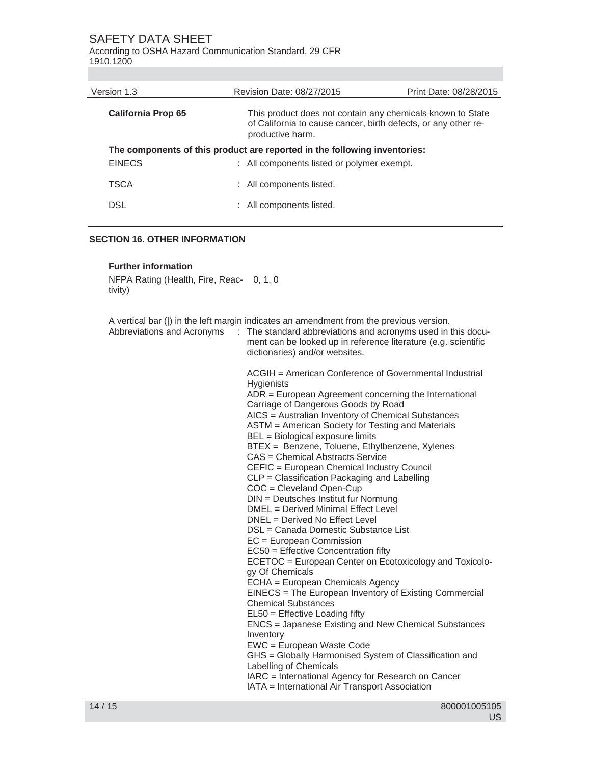According to OSHA Hazard Communication Standard, 29 CFR 1910.1200

| Revision Date: 08/27/2015                                                                                                                        | Print Date: 08/28/2015 |  |
|--------------------------------------------------------------------------------------------------------------------------------------------------|------------------------|--|
| This product does not contain any chemicals known to State<br>of California to cause cancer, birth defects, or any other re-<br>productive harm. |                        |  |
| The components of this product are reported in the following inventories:<br><b>EINECS</b><br>: All components listed or polymer exempt.         |                        |  |
| : All components listed.                                                                                                                         |                        |  |
| : All components listed.                                                                                                                         |                        |  |
|                                                                                                                                                  |                        |  |

#### **SECTION 16. OTHER INFORMATION**

#### **Further information**

NFPA Rating (Health, Fire, Reac-0, 1, 0 tivity)

A vertical bar (|) in the left margin indicates an amendment from the previous version. Abbreviations and Acronyms : The standard abbreviations and acronyms used in this document can be looked up in reference literature (e.g. scientific dictionaries) and/or websites. ACGIH = American Conference of Governmental Industrial **Hygienists** ADR = European Agreement concerning the International Carriage of Dangerous Goods by Road AICS = Australian Inventory of Chemical Substances ASTM = American Society for Testing and Materials BEL = Biological exposure limits BTEX = Benzene, Toluene, Ethylbenzene, Xylenes CAS = Chemical Abstracts Service CEFIC = European Chemical Industry Council CLP = Classification Packaging and Labelling COC = Cleveland Open-Cup DIN = Deutsches Institut fur Normung DMEL = Derived Minimal Effect Level DNEL = Derived No Effect Level DSL = Canada Domestic Substance List EC = European Commission EC50 = Effective Concentration fifty ECETOC = European Center on Ecotoxicology and Toxicology Of Chemicals ECHA = European Chemicals Agency EINECS = The European Inventory of Existing Commercial Chemical Substances EL50 = Effective Loading fifty ENCS = Japanese Existing and New Chemical Substances Inventory EWC = European Waste Code GHS = Globally Harmonised System of Classification and Labelling of Chemicals IARC = International Agency for Research on Cancer IATA = International Air Transport Association